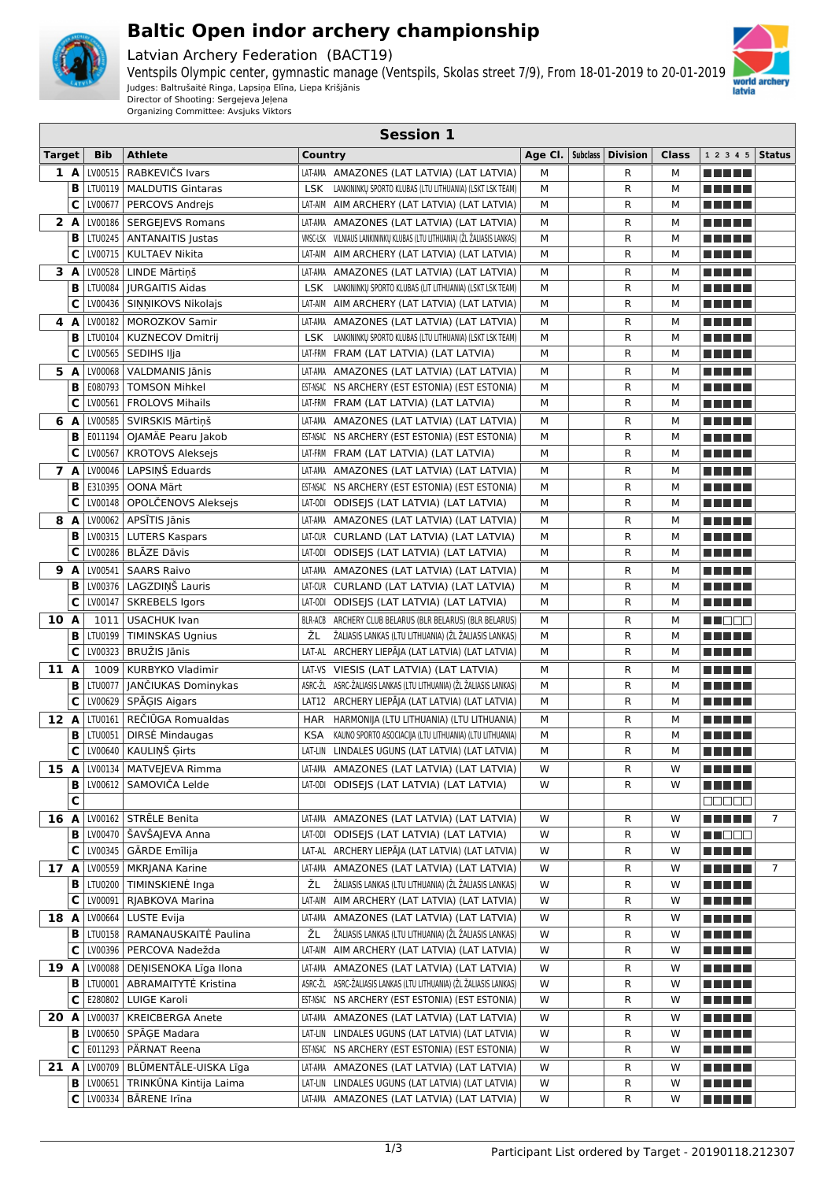

## **Baltic Open indor archery championship**

Latvian Archery Federation (BACT19)

Ventspils Olympic center, gymnastic manage (Ventspils, Skolas street 7/9), From 18-01-2019 to 20-01-2019 Judges: Baltrušaitė Ringa, Lapsiņa Elīna, Liepa Krišjānis Director of Shooting: Sergejeva Jeļena



Organizing Committee: Avsjuks Viktors

|               | <b>Session 1</b> |                    |                                              |                                                                                                                      |         |                 |                   |              |                                        |               |
|---------------|------------------|--------------------|----------------------------------------------|----------------------------------------------------------------------------------------------------------------------|---------|-----------------|-------------------|--------------|----------------------------------------|---------------|
| <b>Target</b> |                  | <b>Bib</b>         | <b>Athlete</b>                               | Country                                                                                                              | Age Cl. | <b>Subclass</b> | <b>Division</b>   | <b>Class</b> | 1 2 3 4 5                              | <b>Status</b> |
|               | 1 A              | LV00515            | RABKEVIČS Ivars                              | LAT-AMA AMAZONES (LAT LATVIA) (LAT LATVIA)                                                                           | М       |                 | R                 | М            | e e e e e                              |               |
|               | B                | LTU0119            | <b>MALDUTIS Gintaras</b>                     | <b>LSK</b><br>LANKININKŲ SPORTO KLUBAS (LTU LITHUANIA) (LSKT LSK TEAM)                                               | М       |                 | R                 | м            | <u> El Bertin</u>                      |               |
|               | C                | LV00677            | PERCOVS Andrejs                              | AIM ARCHERY (LAT LATVIA) (LAT LATVIA)<br>LAT-AIM                                                                     | М       |                 | R                 | м            | <u> El Bertin</u>                      |               |
|               | 2A               |                    | LV00186   SERGEIEVS Romans                   | LAT-AMA AMAZONES (LAT LATVIA) (LAT LATVIA)                                                                           | М       |                 | R                 | м            | n na mata                              |               |
|               | B                | LTU0245            | <b>ANTANAITIS Justas</b>                     | VMSC-LSK<br>VILNIAUS LANKININKŲ KLUBAS (LTU LITHUANIA) (ŽL ŽALIASIS LANKAS)                                          | М       |                 | R                 | м            | <u> El Bertin</u>                      |               |
|               | С                | LV00715            | KULTAEV Nikita                               | LAT-AIM<br>AIM ARCHERY (LAT LATVIA) (LAT LATVIA)                                                                     | М       |                 | R                 | м            | <u> El Bertin</u>                      |               |
|               | 3A               | LV00528            | LINDE Mārtiņš                                | LAT-AMA<br>AMAZONES (LAT LATVIA) (LAT LATVIA)                                                                        | М       |                 | R                 | м            | n di Titolo                            |               |
|               | B<br>C           | LTU0084<br>LV00436 | <b>JURGAITIS Aidas</b><br>SINNIKOVS Nikolajs | <b>LSK</b><br>LANKININKŲ SPORTO KLUBAS (LIT LITHUANIA) (LSKT LSK TEAM)<br>LAT-AIM                                    | М<br>М  |                 | $\mathsf{R}$<br>R | М<br>м       | M M M M M                              |               |
|               |                  | LV00182            | <b>MOROZKOV Samir</b>                        | AIM ARCHERY (LAT LATVIA) (LAT LATVIA)                                                                                |         |                 |                   |              | <u> El Bertin</u>                      |               |
| 4             | A<br>B           | LTU0104            | KUZNECOV Dmitrij                             | LAT-AMA AMAZONES (LAT LATVIA) (LAT LATVIA)<br><b>LSK</b><br>LANKININKŲ SPORTO KLUBAS (LTU LITHUANIA) (LSKT LSK TEAM) | М<br>М  |                 | R<br>R            | м<br>м       | <u> El Bertin</u><br><u> El Bertin</u> |               |
|               | C                | LV00565            | SEDIHS Iļja                                  | LAT-FRM FRAM (LAT LATVIA) (LAT LATVIA)                                                                               | М       |                 | R                 | м            | <u> Literatur in s</u>                 |               |
|               | 5 A              | LV00068            | VALDMANIS Jānis                              | LAT-AMA AMAZONES (LAT LATVIA) (LAT LATVIA)                                                                           | М       |                 | R                 | м            | <u> El Bertin</u>                      |               |
|               | B                | E080793            | <b>TOMSON Mihkel</b>                         | EST-NSAC NS ARCHERY (EST ESTONIA) (EST ESTONIA)                                                                      | М       |                 | R                 | м            | <u> Literatur in s</u>                 |               |
|               | C                | LV00561            | <b>FROLOVS Mihails</b>                       | LAT-FRM FRAM (LAT LATVIA) (LAT LATVIA)                                                                               | M       |                 | R                 | м            | <u> Literatur in s</u>                 |               |
| 6             | A                | LV00585            | SVIRSKIS Mārtinš                             | AMAZONES (LAT LATVIA) (LAT LATVIA)<br>LAT-AMA                                                                        | М       |                 | R                 | м            |                                        |               |
|               | B                | E011194            | OJAMÄE Pearu Jakob                           | EST-NSAC NS ARCHERY (EST ESTONIA) (EST ESTONIA)                                                                      | М       |                 | R                 | М            | ma matsa                               |               |
|               | С                | LV00567            | <b>KROTOVS Aleksejs</b>                      | LAT-FRM FRAM (LAT LATVIA) (LAT LATVIA)                                                                               | M       |                 | $\mathsf{R}$      | м            |                                        |               |
|               | 7 A              | LV00046            | LAPSINŠ Eduards                              | AMAZONES (LAT LATVIA) (LAT LATVIA)<br>LAT-AMA                                                                        | М       |                 | R                 | м            | ma matsa                               |               |
|               | в                | E310395            | OONA Märt                                    | EST-NSAC NS ARCHERY (EST ESTONIA) (EST ESTONIA)                                                                      | М       |                 | $\mathsf{R}$      | М            | ma matsa                               |               |
|               | С                | LV00148            | OPOLČENOVS Aleksejs                          | LAT-0DI ODISEJS (LAT LATVIA) (LAT LATVIA)                                                                            | M       |                 | R                 | м            | n di Tinggi                            |               |
| 8             | A                | LV00062            | APSĪTIS Jānis                                | LAT-AMA AMAZONES (LAT LATVIA) (LAT LATVIA)                                                                           | М       |                 | R                 | м            | n di Tinggi                            |               |
|               | B                |                    | LV00315   LUTERS Kaspars                     | LAT-CUR CURLAND (LAT LATVIA) (LAT LATVIA)                                                                            | М       |                 | R                 | м            |                                        |               |
|               | C                |                    | LV00286 BLĀZE Dāvis                          | LAT-0DI ODISEJS (LAT LATVIA) (LAT LATVIA)                                                                            | M       |                 | R                 | м            |                                        |               |
|               | 9 A              |                    | LV00541   SAARS Raivo                        | LAT-AMA AMAZONES (LAT LATVIA) (LAT LATVIA)                                                                           | М       |                 | R                 | м            |                                        |               |
|               | B                |                    | LV00376   LAGZDINŠ Lauris                    | LAT-CUR CURLAND (LAT LATVIA) (LAT LATVIA)                                                                            | M       |                 | R                 | М            |                                        |               |
|               | С                | LV00147            | <b>SKREBELS Igors</b>                        | LAT-0DI ODISEJS (LAT LATVIA) (LAT LATVIA)                                                                            | M       |                 | R                 | м            |                                        |               |
| 10 A          |                  | 1011               | USACHUK Ivan                                 | BLR-ACB ARCHERY CLUB BELARUS (BLR BELARUS) (BLR BELARUS)                                                             | M       |                 | R                 | м            | M S S S                                |               |
|               | B                | LTU0199            | <b>TIMINSKAS Ugnius</b>                      | ŽL<br>ŽALIASIS LANKAS (LTU LITHUANIA) (ŽL ŽALIASIS LANKAS)                                                           | M       |                 | R                 | М            |                                        |               |
|               | C                | LV00323            | BRUŽIS Jānis                                 | LAT-AL ARCHERY LIEPĀJA (LAT LATVIA) (LAT LATVIA)                                                                     | М       |                 | R                 | М            |                                        |               |
| 11 A          |                  | 1009               | <b>KURBYKO Vladimir</b>                      | LAT-VS VIESIS (LAT LATVIA) (LAT LATVIA)                                                                              | M       |                 | R                 | м            |                                        |               |
|               | B                | <b>LTU0077</b>     | JANČIUKAS Dominykas                          | ASRC-ŽL ASRC-ŽALIASIS LANKAS (LTU LITHUANIA) (ŽL ŽALIASIS LANKAS)                                                    | М       |                 | R                 | M            | ma matsa                               |               |
|               | C                |                    | LV00629   SP $\bar{A}$ GIS Aigars            | LAT12 ARCHERY LIEPĀJA (LAT LATVIA) (LAT LATVIA)                                                                      | М       |                 | $\mathsf{R}$      | М            | ma matsa                               |               |
| 12 A          |                  | LTU0161            | REČIŪGA Romualdas                            | HAR HARMONIJA (LTU LITHUANIA) (LTU LITHUANIA)                                                                        | М       |                 | R                 | м            | ma matsa                               |               |
|               | B                | LTU0051            | <b>DIRSE Mindaugas</b>                       | KAUNO SPORTO ASOCIACIJA (LTU LITHUANIA) (LTU LITHUANIA)<br><b>KSA</b>                                                | М       |                 | R                 | М            | n na mats                              |               |
|               | $ {\bf c} $      |                    | LV00640   KAULIŅŠ Ģirts                      | LAT-LIN LINDALES UGUNS (LAT LATVIA) (LAT LATVIA)                                                                     | М       |                 | R                 | М            | <u> BERTH</u>                          |               |
|               |                  |                    | 15 A   LV00134   MATVEJEVA Rimma             | LAT-AMA AMAZONES (LAT LATVIA) (LAT LATVIA)                                                                           | W       |                 | R                 | W            | <u> El El El </u>                      |               |
|               | в<br>C           |                    | LV00612   SAMOVIČA Lelde                     | LAT-0DI ODISEJS (LAT LATVIA) (LAT LATVIA)                                                                            | W       |                 | R                 | W            | <u> El Bertin</u>                      |               |
| 16 A          |                  |                    | LV00162 STRĒLE Benita                        | LAT-AMA AMAZONES (LAT LATVIA) (LAT LATVIA)                                                                           | W       |                 | R                 | W            | 88888                                  | 7             |
|               | в                |                    | LV00470   ŠAVŠAJEVA Anna                     | LAT-0DI ODISEJS (LAT LATVIA) (LAT LATVIA)                                                                            | W       |                 | R                 | W            | <u> El El El </u><br><b>RECOR</b>      |               |
|               | C                |                    | LV00345   GĀRDE Emīlija                      | LAT-AL ARCHERY LIEPĀJA (LAT LATVIA) (LAT LATVIA)                                                                     | W       |                 | R                 | w            | <u> Literatur</u>                      |               |
| 17 A          |                  |                    | LV00559   MKRJANA Karine                     | LAT-AMA AMAZONES (LAT LATVIA) (LAT LATVIA)                                                                           | W       |                 | R                 | W            | MA MAR                                 | 7             |
|               | в                |                    | LTU0200   TIMINSKIENĖ Inga                   | ŽL<br>ŽALIASIS LANKAS (LTU LITHUANIA) (ŽL ŽALIASIS LANKAS)                                                           | W       |                 | R                 | w            | <u> Literatur</u>                      |               |
|               | C                |                    | LV00091   RJABKOVA Marina                    | LAT-AIM AIM ARCHERY (LAT LATVIA) (LAT LATVIA)                                                                        | W       |                 | R                 | W            | <u> Literatur</u>                      |               |
| 18 A          |                  |                    | LV00664 LUSTE Evija                          | LAT-AMA AMAZONES (LAT LATVIA) (LAT LATVIA)                                                                           | W       |                 | R                 | w            | <u> Literatur</u>                      |               |
|               | В                |                    | LTU0158   RAMANAUSKAITĖ Paulina              | ŽL<br>ŽALIASIS LANKAS (LTU LITHUANIA) (ŽL ŽALIASIS LANKAS)                                                           | W       |                 | R                 | w            | <u> Literatur</u>                      |               |
|               | C                |                    | LV00396   PERCOVA Nadežda                    | LAT-AIM AIM ARCHERY (LAT LATVIA) (LAT LATVIA)                                                                        | W       |                 | R                 | w            | <u> El Bell</u>                        |               |
| 19 A          |                  |                    | LV00088 DEŅISENOKA Līga Ilona                | LAT-AMA AMAZONES (LAT LATVIA) (LAT LATVIA)                                                                           | W       |                 | R                 | w            | <u> Literatur</u>                      |               |
|               | в                | LTU0001            | ABRAMAITYTĖ Kristina                         | ASRC-ŽL ASRC-ŽALIASIS LANKAS (LTU LITHUANIA) (ŽL ŽALIASIS LANKAS)                                                    | W       |                 | R                 | w            | <u> Literatur</u>                      |               |
|               | C                |                    | E280802   LUIGE Karoli                       | EST-NSAC NS ARCHERY (EST ESTONIA) (EST ESTONIA)                                                                      | W       |                 | R                 | W            | <u> Literatur</u>                      |               |
| 20 A          |                  | LV00037            | <b>KREICBERGA Anete</b>                      | LAT-AMA AMAZONES (LAT LATVIA) (LAT LATVIA)                                                                           | W       |                 | R                 | w            | <u> Literatur</u>                      |               |
|               | в                | LV00650            | SPĀĢE Madara                                 | LAT-LIN LINDALES UGUNS (LAT LATVIA) (LAT LATVIA)                                                                     | W       |                 | R                 | W            | <u> Literatur</u>                      |               |
|               | C                |                    | E011293   PÄRNAT Reena                       | EST-NSAC NS ARCHERY (EST ESTONIA) (EST ESTONIA)                                                                      | W       |                 | R                 | W            | N E HELL                               |               |
| 21 A          |                  |                    | LV00709   BLŪMENTĀLE-UISKA Līga              | LAT-AMA AMAZONES (LAT LATVIA) (LAT LATVIA)                                                                           | W       |                 | R                 | w            | <u> Literatur</u>                      |               |
|               | в                |                    | LV00651   TRINKŪNA Kintija Laima             | LAT-LIN LINDALES UGUNS (LAT LATVIA) (LAT LATVIA)                                                                     | W       |                 | R                 | W            | N E HE H                               |               |
|               | C                |                    | LV00334   BĀRENE Irīna                       | LAT-AMA AMAZONES (LAT LATVIA) (LAT LATVIA)                                                                           | W       |                 | R                 | W            | <u> El Bell</u>                        |               |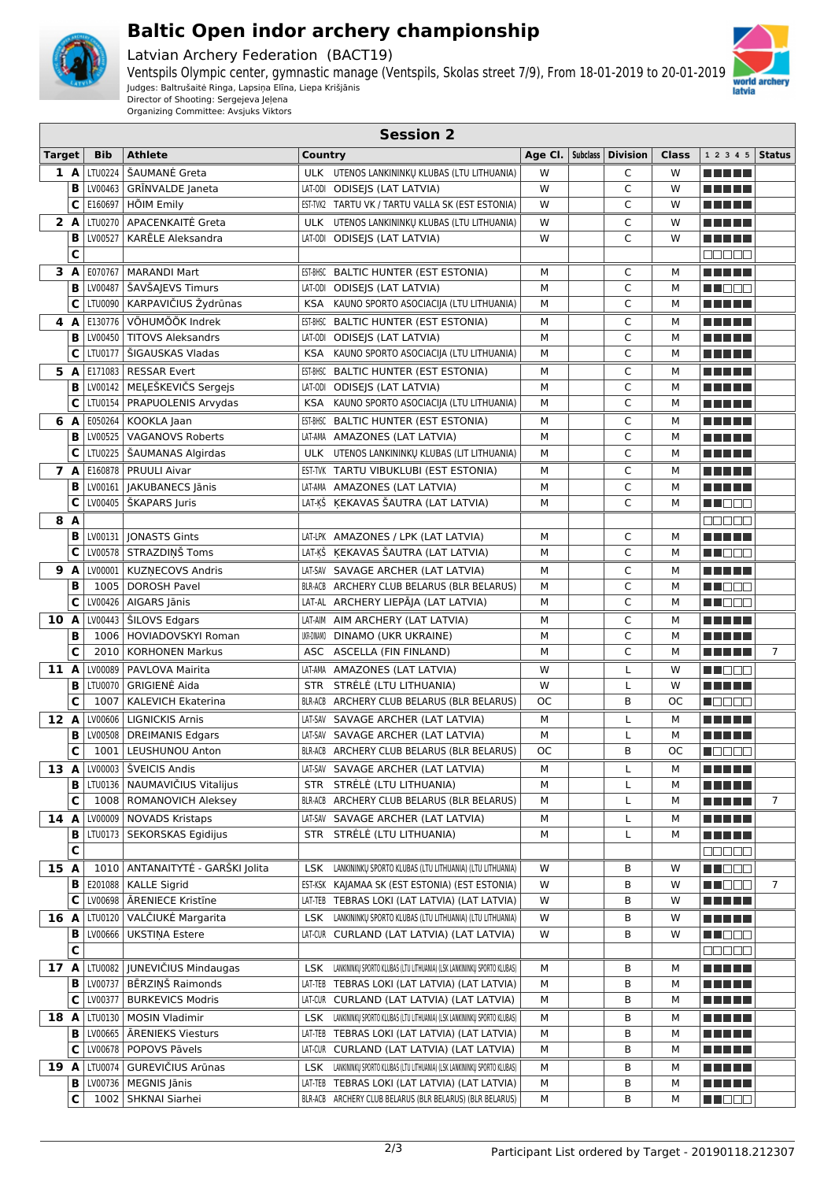

## **Baltic Open indor archery championship**

Latvian Archery Federation (BACT19)

Ventspils Olympic center, gymnastic manage (Ventspils, Skolas street 7/9), From 18-01-2019 to 20-01-2019 Judges: Baltrušaitė Ringa, Lapsiņa Elīna, Liepa Krišjānis Director of Shooting: Sergejeva Jeļena



Organizing Committee: Avsjuks Viktors

|               | <b>Session 2</b> |            |                                                           |            |                                                                             |           |          |                 |        |                                                  |                |
|---------------|------------------|------------|-----------------------------------------------------------|------------|-----------------------------------------------------------------------------|-----------|----------|-----------------|--------|--------------------------------------------------|----------------|
| <b>Target</b> |                  | <b>Bib</b> | <b>Athlete</b>                                            | Country    |                                                                             | Age Cl.   | Subclass | <b>Division</b> | Class  | $12345$ Status                                   |                |
| 1 A           |                  | LTU0224    | ŠAUMANĖ Greta                                             |            | ULK UTENOS LANKININKŲ KLUBAS (LTU LITHUANIA)                                | W         |          | C               | W      | <u> El Bertin</u>                                |                |
|               | B                |            | LV00463   GRINVALDE Janeta                                |            | LAT-0DI ODISEJS (LAT LATVIA)                                                | W         |          | C               | W      | <u> El Bertin</u>                                |                |
|               | C                | E160697    | HÕIM Emily                                                |            | EST-TVK2 TARTU VK / TARTU VALLA SK (EST ESTONIA)                            | W         |          | C               | W      | a da da                                          |                |
| 2 A           |                  |            | LTU0270 APACENKAITĖ Greta                                 |            | ULK UTENOS LANKININKŲ KLUBAS (LTU LITHUANIA)                                | W         |          | C               | W      | n na mat                                         |                |
|               | B                | LV00527    | KARĒLE Aleksandra                                         |            | LAT-0DI ODISEJS (LAT LATVIA)                                                | W         |          | C               | W      | n na m                                           |                |
|               | С                |            |                                                           |            |                                                                             |           |          |                 |        | 88888                                            |                |
| 3 A           |                  |            | E070767   MARANDI Mart                                    |            | EST-BHSC BALTIC HUNTER (EST ESTONIA)                                        | M         |          | C               | М      | n din se                                         |                |
|               | в                |            | LV00487   ŠAVŠAJEVS Timurs                                |            | LAT-0DI ODISEJS (LAT LATVIA)                                                | М         |          | C               | М      | M DEC                                            |                |
|               | C                |            | LTU0090 KARPAVIČIUS Žydrūnas                              |            | KSA KAUNO SPORTO ASOCIACIJA (LTU LITHUANIA)                                 | М         |          | C               | М      | a da da                                          |                |
| 4 A           |                  |            | E130776 VÕHUMÕÕK Indrek                                   |            | EST-BHSC BALTIC HUNTER (EST ESTONIA)                                        | М         |          | C               | м      | n na m                                           |                |
|               | B                |            | LV00450   TITOVS Aleksandrs                               |            | LAT-0DI ODISEJS (LAT LATVIA)                                                | M         |          | C               | М      | <u> El Bertin</u>                                |                |
|               | с                |            | LTU0177   ŠIGAUSKAS Vladas                                |            | KSA KAUNO SPORTO ASOCIACIJA (LTU LITHUANIA)                                 | М         |          | C               | М      | <u> Literatur</u>                                |                |
| 5 A           |                  |            | E171083   RESSAR Evert                                    |            | EST-BHSC BALTIC HUNTER (EST ESTONIA)                                        | М         |          | C               | м      | <u> El Bertolo</u>                               |                |
|               | в                |            | LV00142   MELEŠKEVIČS Sergejs                             |            | LAT-0DI ODISEJS (LAT LATVIA)                                                | M<br>M    |          | C<br>C          | М<br>M | <u> Literatur in s</u>                           |                |
|               | C                |            | LTU0154   PRAPUOLENIS Arvydas                             |            | KSA KAUNO SPORTO ASOCIACIJA (LTU LITHUANIA)                                 |           |          |                 |        | <u> El Bertin</u>                                |                |
| 6 A           | в                |            | E050264   KOOKLA Jaan                                     |            | EST-BHSC BALTIC HUNTER (EST ESTONIA)                                        | М         |          | C<br>C          | м      | <u> Literatur in s</u>                           |                |
|               | с                |            | LV00525   VAGANOVS Roberts<br>LTU0225   SAUMANAS Algirdas |            | LAT-AMA AMAZONES (LAT LATVIA)                                               | M<br>M    |          | C               | M<br>М | <u> Literatur in s</u><br><u> Literatur in s</u> |                |
| 7 A           |                  |            |                                                           |            | ULK UTENOS LANKININKŲ KLUBAS (LIT LITHUANIA)                                |           |          |                 |        |                                                  |                |
|               | в                |            | E160878   PRUULI Aivar<br>LV00161   JAKUBANECS Jānis      |            | EST-TVK TARTU VIBUKLUBI (EST ESTONIA)<br>LAT-AMA AMAZONES (LAT LATVIA)      | М<br>М    |          | C<br>C          | м<br>M | n di Titolo<br><u> El Bertin</u>                 |                |
|               | с                |            | LV00405   ŠKAPARS Juris                                   |            | LAT-KŠ KEKAVAS ŠAUTRA (LAT LATVIA)                                          | M         |          | C               | М      | M NO O O                                         |                |
| 8 A           |                  |            |                                                           |            |                                                                             |           |          |                 |        |                                                  |                |
|               | В                |            | LV00131   JONASTS Gints                                   |            | LAT-LPK AMAZONES / LPK (LAT LATVIA)                                         | М         |          | C               | М      | ooooo<br><u> El Bertolo</u>                      |                |
|               | с                |            | LV00578 STRAZDIŅŠ Toms                                    |            | LAT-KŠ KEKAVAS ŠAUTRA (LAT LATVIA)                                          | M         |          | C               | М      | M DE S                                           |                |
| 9 A           |                  |            | LV00001   KUZNECOVS Andris                                |            | LAT-SAV SAVAGE ARCHER (LAT LATVIA)                                          | М         |          | C               | М      | <u> La Barta</u>                                 |                |
|               | B                |            | 1005   DOROSH Pavel                                       |            | BLR-ACB ARCHERY CLUB BELARUS (BLR BELARUS)                                  | M         |          | C               | М      | N NO DE L                                        |                |
|               | C                |            | LV00426   AIGARS Jānis                                    |            | LAT-AL ARCHERY LIEPĀJA (LAT LATVIA)                                         | M         |          | C               | М      | M NO O O                                         |                |
| 10 A          |                  |            | LV00443   ŠILOVS Edgars                                   |            | LAT-AIM AIM ARCHERY (LAT LATVIA)                                            | М         |          | C               | м      | <u> El Bertin</u>                                |                |
|               | B                |            | 1006   HOVIADOVSKYI Roman                                 | UKR-DINAMO | DINAMO (UKR UKRAINE)                                                        | M         |          | C               | M      |                                                  |                |
|               | C                |            | 2010   KORHONEN Markus                                    |            | ASC ASCELLA (FIN FINLAND)                                                   | M         |          | C               | M      | <u> El Bertolo</u>                               | $\overline{7}$ |
| 11 A          |                  |            | LV00089   PAVLOVA Mairita                                 |            | LAT-AMA AMAZONES (LAT LATVIA)                                               | W         |          | L               | W      | M DO O                                           |                |
|               | в                |            | LTU0070   GRIGIENĖ Aida                                   |            | STR STRĖLĖ (LTU LITHUANIA)                                                  | W         |          | L               | W      | M M M M M                                        |                |
|               | C                | 1007       | KALEVICH Ekaterina                                        |            | BLR-ACB ARCHERY CLUB BELARUS (BLR BELARUS)                                  | ОC        |          | B               | ОC     | <b>MODOO</b>                                     |                |
| 12 A          |                  |            | LV00606   LIGNICKIS Arnis                                 |            | LAT-SAV SAVAGE ARCHER (LAT LATVIA)                                          | М         |          | L               | М      | <u> El Bertin</u>                                |                |
|               | в                |            | LV00508   DREIMANIS Edgars                                |            | LAT-SAV SAVAGE ARCHER (LAT LATVIA)                                          | M         |          | L               | М      | n di Titolo                                      |                |
|               | $\mathbf c$      |            | 1001   LEUSHUNOU Anton                                    |            | BLR-ACB ARCHERY CLUB BELARUS (BLR BELARUS)                                  | <b>OC</b> |          | B               | ОC     | $\blacksquare$ $\blacksquare$                    |                |
|               |                  |            | 13 A LV00003   ŠVEICIS Andis                              |            | LAT-SAV SAVAGE ARCHER (LAT LATVIA)                                          | М         |          | L               | М      | <u> El El El </u>                                |                |
|               | В                |            | LTU0136   NAUMAVIČIUS Vitalijus                           |            | STR STRĖLĖ (LTU LITHUANIA)                                                  | м         |          | L               | М      | <u> Literatur</u>                                |                |
|               | C                |            | 1008   ROMANOVICH Aleksey                                 |            | BLR-ACB ARCHERY CLUB BELARUS (BLR BELARUS)                                  | М         |          | Г               | М      | ME NE NE                                         | $\overline{7}$ |
|               |                  |            | 14 A LV00009 NOVADS Kristaps                              |            | LAT-SAV SAVAGE ARCHER (LAT LATVIA)                                          | М         |          | L               | М      | <u> La Barta</u>                                 |                |
|               | в                |            | LTU0173   SEKORSKAS Egidijus                              |            | STR STRĖLĖ (LTU LITHUANIA)                                                  | М         |          | L               | М      | N N N N N                                        |                |
|               | С                |            |                                                           |            |                                                                             |           |          |                 |        | 88888                                            |                |
| 15 A          |                  |            | 1010   ANTANAITYTĖ - GARŠKI Jolita                        |            | LSK LANKININKU SPORTO KLUBAS (LTU LITHUANIA) (LTU LITHUANIA)                | W         |          | В               | w      | M NO BE                                          |                |
|               | в                |            | E201088   KALLE Sigrid                                    |            | EST-KSK KAJAMAA SK (EST ESTONIA) (EST ESTONIA)                              | W         |          | В               | w      | M NO BE                                          | 7              |
|               | с                |            | LV00698   ĀRENIECE Kristīne                               |            | LAT-TEB TEBRAS LOKI (LAT LATVIA) (LAT LATVIA)                               | W         |          | В               | w      | <u> Literatura de la p</u>                       |                |
| 16 A          |                  |            | LTU0120 VALČIUKĖ Margarita                                |            | LSK LANKININKŲ SPORTO KLUBAS (LTU LITHUANIA) (LTU LITHUANIA)                | W         |          | В               | w      | n din bir                                        |                |
|               | в                |            | LV00666   UKSTINA Estere                                  |            | LAT-CUR CURLAND (LAT LATVIA) (LAT LATVIA)                                   | W         |          | В               | w      | <u> Holland</u>                                  |                |
|               | С                |            |                                                           |            |                                                                             |           |          |                 |        | Maaaa                                            |                |
| 17 A          |                  |            | LTU0082   JUNEVIČIUS Mindaugas                            |            | LSK LANKININKŲ SPORTO KLUBAS (LTU LITHUANIA) (LSK LANKININKŲ SPORTO KLUBAS) | М         |          | В               | М      | N N N N N N                                      |                |
|               | в                |            | LV00737   BĒRZIŅŠ Raimonds                                |            | LAT-TEB TEBRAS LOKI (LAT LATVIA) (LAT LATVIA)                               | М         |          | В               | М      | <u> Literatur</u>                                |                |
|               | с                |            | LV00377   BURKEVICS Modris                                |            | LAT-CUR CURLAND (LAT LATVIA) (LAT LATVIA)                                   | М         |          | В               | М      | <u> Literatur</u>                                |                |
| 18 A          |                  |            | LTU0130   MOSIN Vladimir                                  |            | LSK LANKININKŲ SPORTO KLUBAS (LTU LITHUANIA) (LSK LANKININKŲ SPORTO KLUBAS) | М         |          | В               | М      | <u> El El El </u>                                |                |
|               | в                |            | LV00665   ĀRENIEKS Viesturs                               |            | LAT-TEB TEBRAS LOKI (LAT LATVIA) (LAT LATVIA)                               | М         |          | В               | М      | <u> Literatur</u>                                |                |
|               | С                |            | LV00678   POPOVS Pāvels                                   |            | LAT-CUR CURLAND (LAT LATVIA) (LAT LATVIA)                                   | М         |          | В               | М      | <u> Literatur</u>                                |                |
| 19 A          |                  | LTU0074    | GUREVIČIUS Arūnas                                         |            | LSK LANKININKŲ SPORTO KLUBAS (LTU LITHUANIA) (LSK LANKININKŲ SPORTO KLUBAS) | м         |          | В               | М      | <u> Literatura de la </u>                        |                |
|               | В                |            | LV00736   MEGNIS Jānis                                    |            | LAT-TEB TEBRAS LOKI (LAT LATVIA) (LAT LATVIA)                               | М         |          | В               | М      |                                                  |                |
|               | С                |            | 1002   SHKNAI Siarhei                                     |            | BLR-ACB ARCHERY CLUB BELARUS (BLR BELARUS) (BLR BELARUS)                    | М         |          | В               | М      | <u> Nijeli s pr</u>                              |                |